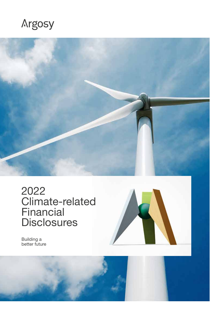### Argosy



2022 Climate-related Financial **Disclosures** 



Building a better future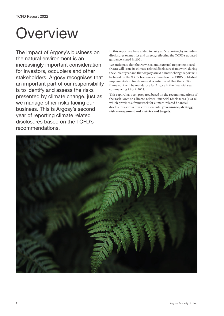## **Overview**

The impact of Argosy's business on the natural environment is an increasingly important consideration for investors, occupiers and other stakeholders. Argosy recognises that an important part of our responsibility is to identify and assess the risks presented by climate change, just as we manage other risks facing our business. This is Argosy's second year of reporting climate related disclosures based on the TCFD's recommendations.

In this report we have added to last year's reporting by including disclosures on metrics and targets, reflecting the TCFD's updated guidance issued in 2021.

We anticipate that the New Zealand External Reporting Board (XRB) will issue its climate related disclosure framework during the current year and that Argosy's next climate change report will be based on the XRB's framework. Based on the XRB's published implementation timeframes, it is anticipated that the XRB's framework will be mandatory for Argosy in the financial year commencing 1 April 2023.

This report has been prepared based on the recommendations of the Task Force on Climate-related Financial Disclosures (TCFD) which provides a framework for climate-related financial disclosures across four core elements: **governance, strategy, risk management and metrics and targets.**

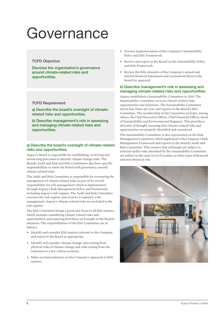### Governance

#### TCFD Objective:

Disclose the organisation's governance around climate-related risks and opportunities.

#### TCFD Requirement:

a) Describe the board's oversight of climaterelated risks and opportunities.

b) Describe management's role in assessing and managing climate-related risks and opportunities.

#### a) Describe the board's oversight of climate-related risks and opportunities.

Argosy's Board is responsible for establishing, reviewing and monitoring processes to identify climate change risks. The Board's Audit and Risk and ESG Committees also have specific responsibilities to assist the Board with governance around climate related risks.

The Audit and Risk Committee is responsible for overseeing the management of climate related risks as part of its overall responsibility for risk management which is implemented through Argosy's Risk Management Policy and Framework, including Argosy's risk register. The Audit and Risk Committee oversees the risk register and reviews it regularly with management. Argosy's climate related risks are included in the risk register.

The ESG Committee brings a particular focus to all ESG matters, which includes considering climate related risks and opportunities, and ensuring that these are brought to the Board's attention. The responsibilities of the ESG Committee are as follows:

- Identify and consider ESG matters relevant to the Company and report to the Board as appropriate.
- Identify and consider climate change risks arising from physical risks of climate change and risks arising from the transition to a low carbon economy.
- Make recommendations on the Company's approach to ESG matters.
- Oversee implementation of the Company's Sustainability Policy and ESG Framework.
- Review and report to the Board on the Sustainability Policy and ESG Framework.
- Review the ESG elements of the Company's annual and interim financial statements and recommend them to the Board for approval.

#### b) Describe management's role in assessing and managing climate-related risks and opportunities.

Argosy established a Sustainability Committee in 2019. The Sustainability Committee reviews climate related risks, opportunities and initiatives. The Sustainability Committee meets four times per year and reports to the Board's ESG Committee. The membership of the Committee includes, among others, the Chief Executive Officer, Chief Financial Officer, Head of Sustainability and Environmental Engineer. This provides a diversity of thought, ensuring that climate related risks and opportunities are properly identified and considered.

The Sustainability Committee is also represented on the Risk Management Committee which implement's the Company's Risk Management Framework and reports to the Board's Audit and Risk Committee. This ensures that (although not subject to external audit) risks identified by the Sustainability Committee are subject to the same level of scrutiny as other types of financial and non-financial risk.

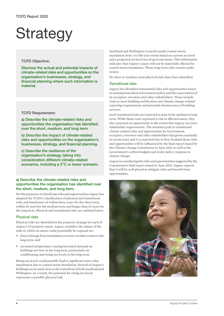# **Strategy**

#### TCFD Objective:

Disclose the actual and potential impacts of climate-related risksand opportunities on the organisation's businesses, strategy, and financial planning where such information is material.

#### TCFD Requirement:

a) Describe the climate-related risks and opportunities the organisation has identified over the short, medium, and long term.

b) Describe the impact of climate-related risks and opportunities on the organisation's businesses, strategy, and financial planning.

c) Describe the resilience of the organisation's strategy, taking into consideration different climate-related scenarios, including a 2°C or lower scenario.

#### a) Describe the climate-related risks and opportunities the organisation has identified over the short, medium, and long term.

For the purposes of classifying risks and opportunities Argosy has adopted the TCFD's classification of physical and transitional risks and timeframes of within three years for the short term, within 10 years for the medium term and longer than 10 years for the long term. Physical and transitional risks are outlined below.

#### *Physical risks*

Physical risks are identified in the property strategy for each of Argosy's 53 property assets. Argosy considers the nature of the risks to which its assets could potentially be exposed are:

- direct damage from inundation or severe weather events in the long term; and
- increased temperature causing increased demand on buildings services in the long term, particularly airconditioning; and rising sea levels in the long term.

Rising sea levels could possibly lead to significant asset value impairment due to coastal storm inundation. Several of Argosy's buildings are located close to the waterfront in both Auckland and Wellington. As a result, the potential for rising sea levels represents a possible physical risk.

Auckland and Wellington Councils model coastal-storm inundation from 1 in 100 year events based on current sea level and a projected sea level rise of up to one metre. This information indicates that Argosy's assets will not be materially affected by coastal storm inundation. These long-term risks remain under review.

No short or medium-term physical risks have been identified.

#### *Transitional risks*

Argosy has identified transitional risks and opportunities based on assumptions about Government policy and the expectations of its occupiers, investors and other stakeholders. These include costs to meet building certification and climate change-related reporting requirements and potential obsolescence of building services.

Such transitional risks are expected to arise in the medium to long term. While these costs represent a risk to affected assets, they also represent an opportunity to the extent that Argosy can meet stakeholder requirements. The attention paid to transitional climate related risks and opportunities by Government, occupiers, investors and other stakeholders has grown markedly in recent years and it is expected that in New Zealand these risks and opportunities will be influenced by the final report issued by the Climate Change Commission in June 2021 as well as the Government's carbon budgets and wider policy response to climate change.

Argosy is considering the risks and opportunities suggested by the Commission's final report issued in June 2021. Argosy expects that it will be well placed to mitigate risks and benefit from opportunities.

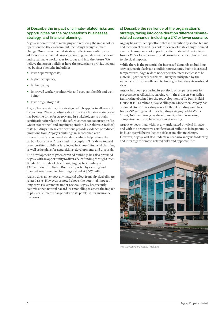#### b) Describe the impact of climate-related risks and opportunities on the organisation's businesses, strategy, and financial planning.

Argosy is committed to managing and reducing the impact of its operations on the environment, including through climate change. Our environmental strategy reflects our ambition to address environmental issues by creating well designed, vibrant and sustainable workplaces for today and into the future. We believe that green buildings have the potential to provide several key business benefits including:

- lower operating costs;
- higher occupancy;
- higher value;
- improved worker productivity and occupant health and wellbeing;
- lower regulatory risk.

Argosy has a sustainability strategy which applies to all areas of its business. The most observable impact of climate-related risks has been the drive for Argosy and its stakeholders to obtain certifications in relation to the refurbishment or construction (i.e. Green Star ratings) and ongoing operation (i.e. NabersNZ ratings) of its buildings. These certifications provide evidence of reduced emissions from Argosy's buildings in accordance with internationally recognised standards which help reduce the carbon footprint of Argosy and its occupiers. This drive toward green certified buildings is reflected in Argosy's financial planning as well as its plans for acquisitions, developments and disposals.

The development of green certified buildings has also provided Argosy with an opportunity to diversify its funding through Green Bonds. At the date of this report, Argosy has funding of \$325 million from Green Bonds supported by existing and planned green certified buildings valued at \$607 million.

Argosy does not expect any material effect from physical climate related risks. However, as noted above, the potential impact of long-term risks remains under review. Argosy has recently commissioned natural hazard loss modelling to assess the impact of physical climate change risks on its portfolio, for insurance purposes.

#### c) Describe the resilience of the organisation's strategy, taking into consideration different climaterelated scenarios, including a 2°C or lower scenario.

Argosy has a resilient portfolio that is diversified by sector, tenant and location. This reduces risk to severe climate change induced events. Argosy does not expect to suffer material direct effects from a 2°C or lower scenario and considers its portfolio resilient to physical impacts.

While there is the potential for increased demands on building services, particularly air-conditioning systems, due to increased temperatures, Argosy does not expect the increased cost to be material, particularly as this will likely be mitigated by the introduction of more efficient technologies to address transitional risks.

Argosy has been preparing its portfolio of property assets for progressive certification, starting with the 5 Green Star Office Built rating obtained for the redevelopment of Te Puni Kōkiri House at 143 Lambton Quay, Wellington. Since then, Argosy has obtained Green Star ratings on a further 4 buildings and has NabersNZ ratings on 4 other buildings. Argosy's 8-14 Willis Street/360 Lambton Quay development, which is nearing completion, will also have a Green Star rating.

Argosy expects that, without any anticipated physical impacts, and with the progressive certification of buildings in its portfolio, its business will be resilient to risks from climate change. However, Argosy will also undertake scenario analysis to identify and interrogate climate-related risks and opportunities.



107 Calrton Gore Road, Auckland.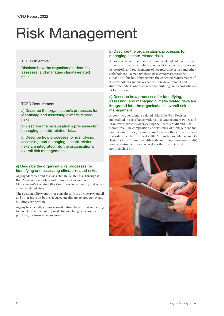# Risk Management

#### TCFD Objective:

Disclose how the organisation identifies, assesses, and manages climate-related risks.

#### TCFD Requirement:

a) Describe the organisation's processes for identifying and assessing climate-related risks.

b) Describe the organisation's processes for managing climate-related risks.

c) Describe how processes for identifying, assessing, and managing climate-related risks are integrated into the organisation's overall risk management.

#### a) Describe the organisation's processes for identifying and assessing climate-related risks.

Argosy identifies and assesses climate-related risk through its Risk Management Policy and Framework as well as Management's Sustainability Committee who identify and assess climate-related risks.

The Sustainability Committee consults with the Property Council and other industry bodies focused on climate-related policy and building certification.

Argosy has recently commissioned natural hazard risk modelling to model the impact of physical climate change risks on its portfolio, for insurance purposes.

#### b) Describe the organisation's processes for managing climate-related risks.

Argosy considers that material climate-related risk could arise from transitional risks which may result in a mismatch between its portfolio and requirements of occupiers, investors and other stakeholders. To manage these risks Argosy assesses the suitability of its buildings against the expected requirements of its stakeholders and makes acquisition, development and divestment decisions to ensure that buildings in its portfolio are fit for purpose.

#### c) Describe how processes for identifying, assessing, and managing climate-related risks are integrated into the organisation's overall risk management.

Argosy includes climate-related risks in its Risk Register maintained in accordance with its Risk Management Policy and Framework which is overseen by the Board's Audit and Risk Committee. The composition and structure of Management and Board Committees (outlined above) ensures that climate-related risks identified by the Board's ESG Committee and Management's Sustainability Committee (although not subject to external audit) are scrutinised at the same level as other financial and nonfinancial risks.

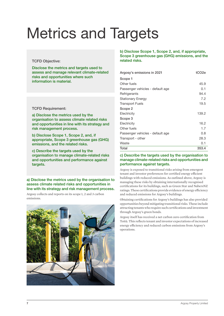# Metrics and Targets

#### TCFD Objective:

Disclose the metrics and targets used to assess and manage relevant climate-related risks and opportunities where such information is material.

#### TCFD Requirement:

a) Disclose the metrics used by the organisation to assess climate related risks and opportunities in line with its strategy and risk management process.

b) Disclose Scope 1, Scope 2, and, if appropriate, Scope 3 greenhouse gas (GHG) emissions, and the related risks.

c) Describe the targets used by the organisation to manage climate-related risks and opportunities and performance against targets.

a) Disclose the metrics used by the organisation to assess climate related risks and opportunities in line with its strategy and risk management process.

Argosy collects and reports on its scope 1, 2 and 3 carbon emissions.



#### b) Disclose Scope 1, Scope 2, and, if appropriate, Scope 3 greenhouse gas (GHG) emissions, and the related risks.

| Argosy's emissions in 2021       | tCO <sub>2e</sub> |
|----------------------------------|-------------------|
| Scope 1                          |                   |
| Other fuels                      | 45.9              |
| Passenger vehicles - default age | 0.1               |
| Refrigerants                     | 94.4              |
| <b>Stationary Energy</b>         | 7.2               |
| <b>Transport Fuels</b>           | 19.5              |
| Scope 2                          |                   |
| Electricity                      | 139.2             |
| Scope 3                          |                   |
| Electricity                      | 16.2              |
| Other fuels                      | 1.7               |
| Passenger vehicles - default age | 0.8               |
| Transport - other                | 28.3              |
| Waste                            | 0.1               |
| Total                            | 353.4             |

#### c) Describe the targets used by the organisation to manage climate-related risks and opportunities and performance against targets.

Argosy is exposed to transitional risks arising from emergent tenant and investor preferences for certified energy efficient buildings with reduced emissions. As outlined above, Argosy is managing these risks by obtaining internationally recognised certifications for its buildings, such as Green Star and NabersNZ ratings.These certifications provide evidence of energy efficiency and reduced emissions for Argosy's buildings.

Obtaining certifications for Argosy's buildings has also provided opportunities beyond mitigating transitional risks. These include attracting tenantswho require such certifications and investment through Argosy's green bonds.

Argosy itself has received a net carbon zero certification from Toitū. This reflects tenant and investor expectations of increased energy efficiency and reduced carbon emissions from Argosy's operations.